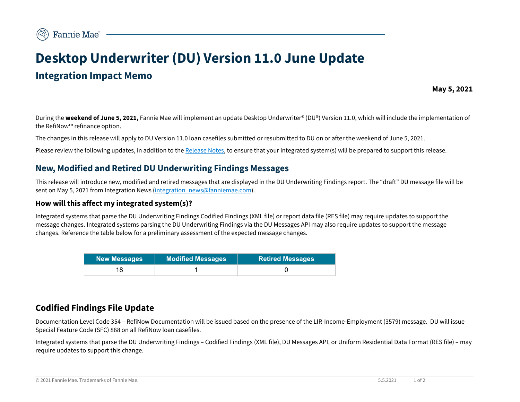# **Desktop Underwriter (DU) Version 11.0 June Update Integration Impact Memo**

**May 5, 2021**

During the **weekend of June 5, 2021,** Fannie Mae will implement an update Desktop Underwriter® (DU®) Version 11.0, which will include the implementation of the RefiNow™ refinance option.

The changes in this release will apply to DU Version 11.0 loan casefiles submitted or resubmitted to DU on or after the weekend of June 5, 2021.

Please review the following updates, in addition to th[e Release Notes,](https://singlefamily.fanniemae.com/media/document/pdf/du-v-11-release-june-5-2021) to ensure that your integrated system(s) will be prepared to support this release.

## **New, Modified and Retired DU Underwriting Findings Messages**

This release will introduce new, modified and retired messages that are displayed in the DU Underwriting Findings report. The "draft" DU message file will be sent on May 5, 2021 from Integration News [\(integration\\_news@fanniemae.com\)](mailto:integration_news@fanniemae.com).

#### **How will this affect my integrated system(s)?**

Integrated systems that parse the DU Underwriting Findings Codified Findings (XML file) or report data file (RES file) may require updates to support the message changes. Integrated systems parsing the DU Underwriting Findings via the DU Messages API may also require updates to support the message changes. Reference the table below for a preliminary assessment of the expected message changes.

| <b>New Messages</b> | <b>Modified Messages</b> | <b>Retired Messages</b> |
|---------------------|--------------------------|-------------------------|
|                     |                          |                         |

# **Codified Findings File Update**

Documentation Level Code 354 – RefiNow Documentation will be issued based on the presence of the LIR-Income-Employment (3579) message. DU will issue Special Feature Code (SFC) 868 on all RefiNow loan casefiles.

Integrated systems that parse the DU Underwriting Findings – Codified Findings (XML file), DU Messages API, or Uniform Residential Data Format (RES file) – may require updates to support this change.